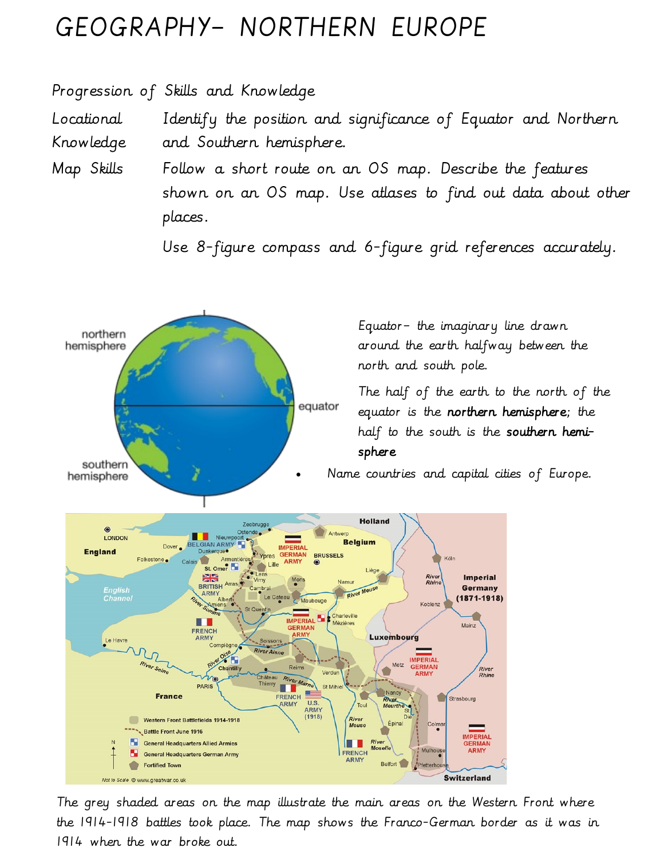## GEOGRAPHY– NORTHERN EUROPE

Progression of Skills and Knowledge

Locational Knowledge Identify the position and significance of Equator and Northern and Southern hemisphere.

Map Skills Follow a short route on an OS map. Describe the features shown on an OS map. Use atlases to find out data about other places.

Use 8-figure compass and 6-figure grid references accurately.



The grey shaded areas on the map illustrate the main areas on the Western Front where the 1914-1918 battles took place. The map shows the Franco-German border as it was in 1914 when the war broke out.